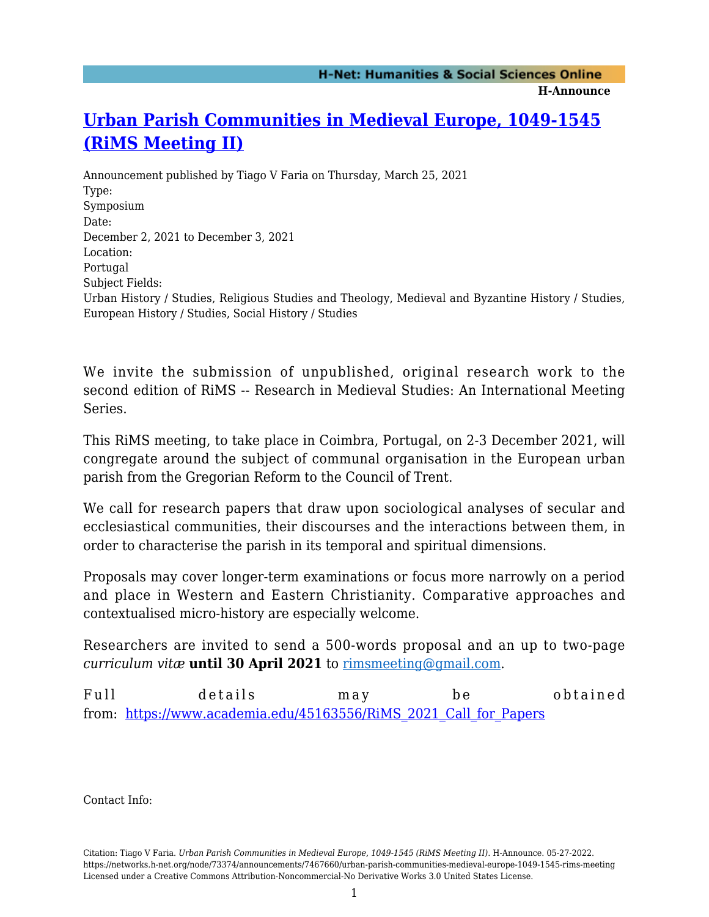## **[Urban Parish Communities in Medieval Europe, 1049-1545](https://networks.h-net.org/node/73374/announcements/7467660/urban-parish-communities-medieval-europe-1049-1545-rims-meeting) [\(RiMS Meeting II\)](https://networks.h-net.org/node/73374/announcements/7467660/urban-parish-communities-medieval-europe-1049-1545-rims-meeting)**

Announcement published by Tiago V Faria on Thursday, March 25, 2021 Type: Symposium Date: December 2, 2021 to December 3, 2021 Location: Portugal Subject Fields: Urban History / Studies, Religious Studies and Theology, Medieval and Byzantine History / Studies, European History / Studies, Social History / Studies

We invite the submission of unpublished, original research work to the second edition of RiMS -- Research in Medieval Studies: An International Meeting Series.

This RiMS meeting, to take place in Coimbra, Portugal, on 2-3 December 2021, will congregate around the subject of communal organisation in the European urban parish from the Gregorian Reform to the Council of Trent.

We call for research papers that draw upon sociological analyses of secular and ecclesiastical communities, their discourses and the interactions between them, in order to characterise the parish in its temporal and spiritual dimensions.

Proposals may cover longer-term examinations or focus more narrowly on a period and place in Western and Eastern Christianity. Comparative approaches and contextualised micro-history are especially welcome.

Researchers are invited to send a 500-words proposal and an up to two-page *curriculum vitæ* **until 30 April 2021** to [rimsmeeting@gmail.com.](mailto:rimsmeeting@gmail.com)

Full details may be obtained from: [https://www.academia.edu/45163556/RiMS\\_2021\\_Call\\_for\\_Papers](https://www.academia.edu/45163556/RiMS_2021_Call_for_Papers)

Contact Info: